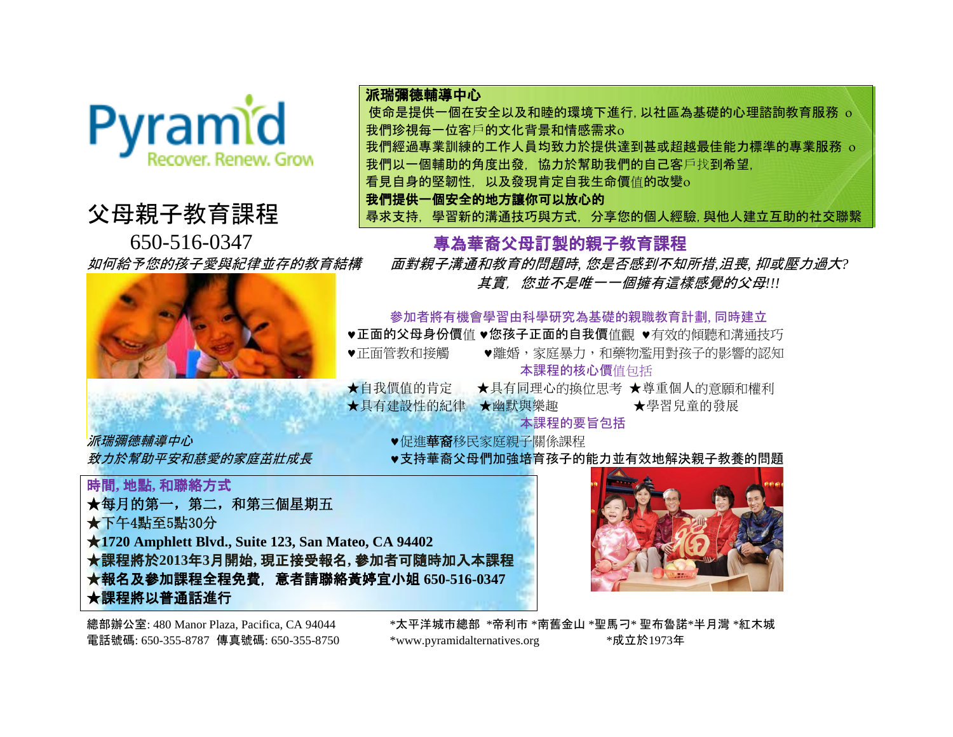

## 父母親子教育課程



<mark>派瑞彌德輔導中心</mark> インディング インディング インストン しゅうしゃ *●*促進**華裔**移民家庭親子關係課程

派瑞彌德輔導中心 使命是提供一個在安全以及和睦的環境下進行,以社區為基礎的心理諮詢教育服務 我們珍視每一位客戶的文化背景和情感需求 我們經過專業訓練的工作人員均致力於提供達到甚或超越最佳能力標準的專業服務

我們以一個輔助的角度出發, 協力於幫助我們的自己客戶找到希望,

看見自身的堅韌性, 以及發現肯定自我生命價值的改變

我們提供一個安全的地方讓你可以放心的

尋求支持, 學習新的溝通技巧與方式, 分享您的個人經驗,與他人建立互助的社交聯繫

650-516-0347 專為華裔父母訂製的親子教育課程

如何給予您的孩子愛與紀律並存的教育結構 面對親子溝通和教育的問題時*,* 您是否感到不知所措*,*沮喪*,* 抑或壓力過大*?* 其實,您並不是唯一一個擁有這樣感覺的父母*!!!*

參加者將有機會學習由科學研究為基礎的親職教育計劃, 同時建立

♥正面的父母身份價值 ♥您孩子正面的自我價值觀 ♥有效的傾聽和溝通技巧

●正面管教和接觸 ●●離婚,家庭暴力,和藥物濫用對孩子的影響的認知 本課程的核心價值包括

★自我價值的肯定 ★具有同理心的換位思考 ★尊重個人的意願和權利 ★具有建設性的紀律 ★幽默與樂趣 ★ ★學習兒童的發展

本課程的要旨包括

*致力於幫助平安和慈愛的家庭茁壯成長* ●支持華裔父母們加強培育孩子的能力並有效地解決親子教養的問題

時間**,** 地點**,** 和聯絡方式 ★每月的第一,第二,和第三個星期五 ★下午4點至5點30分 ★**1720 Amphlett Blvd., Suite 123, San Mateo, CA 94402**  ★課程將於**2013**年**3**月開始**,** 現正接受報名**,** 參加者可隨時加入本課程 ★報名及參加課程全程免費, 意者請聯絡黃婷宜小姐 **650-516-0347** ★課程將以普通話進行



總部辦公室: 480 Manor Plaza, Pacifica, CA 94044 \*太平洋城市總部 \*帝利市 \*南舊金山 \*聖馬刁\* 聖布魯諾\*半月灣 \*紅木城 電話號碼: 650-355-8787 傳真號碼: 650-355-8750 \*\*www.pyramidalternatives.org \*\*成立於1973年